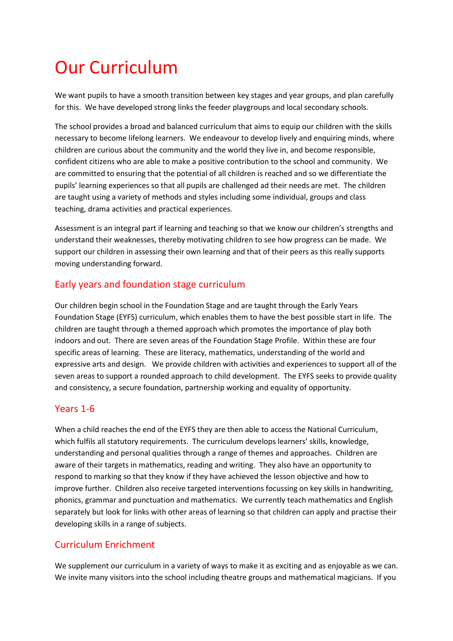# Our Curriculum

We want pupils to have a smooth transition between key stages and year groups, and plan carefully for this. We have developed strong links the feeder playgroups and local secondary schools.

The school provides a broad and balanced curriculum that aims to equip our children with the skills necessary to become lifelong learners. We endeavour to develop lively and enquiring minds, where children are curious about the community and the world they live in, and become responsible, confident citizens who are able to make a positive contribution to the school and community. We are committed to ensuring that the potential of all children is reached and so we differentiate the pupils' learning experiences so that all pupils are challenged ad their needs are met. The children are taught using a variety of methods and styles including some individual, groups and class teaching, drama activities and practical experiences.

Assessment is an integral part if learning and teaching so that we know our children's strengths and understand their weaknesses, thereby motivating children to see how progress can be made. We support our children in assessing their own learning and that of their peers as this really supports moving understanding forward.

## Early years and foundation stage curriculum

Our children begin school in the Foundation Stage and are taught through the Early Years Foundation Stage (EYFS) curriculum, which enables them to have the best possible start in life. The children are taught through a themed approach which promotes the importance of play both indoors and out. There are seven areas of the Foundation Stage Profile. Within these are four specific areas of learning. These are literacy, mathematics, understanding of the world and expressive arts and design. We provide children with activities and experiences to support all of the seven areas to support a rounded approach to child development. The EYFS seeks to provide quality and consistency, a secure foundation, partnership working and equality of opportunity.

#### Years 1-6

When a child reaches the end of the EYFS they are then able to access the National Curriculum, which fulfils all statutory requirements. The curriculum develops learners' skills, knowledge, understanding and personal qualities through a range of themes and approaches. Children are aware of their targets in mathematics, reading and writing. They also have an opportunity to respond to marking so that they know if they have achieved the lesson objective and how to improve further. Children also receive targeted interventions focussing on key skills in handwriting, phonics, grammar and punctuation and mathematics. We currently teach mathematics and English separately but look for links with other areas of learning so that children can apply and practise their developing skills in a range of subjects.

## Curriculum Enrichment

We supplement our curriculum in a variety of ways to make it as exciting and as enjoyable as we can. We invite many visitors into the school including theatre groups and mathematical magicians. If you